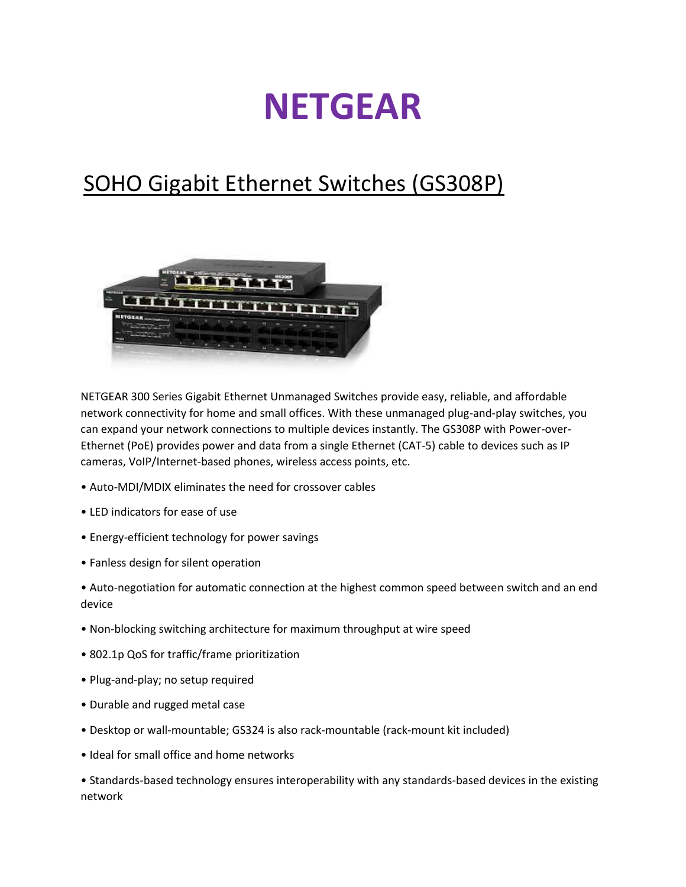## **NETGEAR**

## SOHO Gigabit Ethernet Switches (GS308P)



NETGEAR 300 Series Gigabit Ethernet Unmanaged Switches provide easy, reliable, and affordable network connectivity for home and small offices. With these unmanaged plug-and-play switches, you can expand your network connections to multiple devices instantly. The GS308P with Power-over-Ethernet (PoE) provides power and data from a single Ethernet (CAT-5) cable to devices such as IP cameras, VoIP/Internet-based phones, wireless access points, etc.

- Auto-MDI/MDIX eliminates the need for crossover cables
- LED indicators for ease of use
- Energy-efficient technology for power savings
- Fanless design for silent operation
- Auto-negotiation for automatic connection at the highest common speed between switch and an end device
- Non-blocking switching architecture for maximum throughput at wire speed
- 802.1p QoS for traffic/frame prioritization
- Plug-and-play; no setup required
- Durable and rugged metal case
- Desktop or wall-mountable; GS324 is also rack-mountable (rack-mount kit included)
- Ideal for small office and home networks

• Standards-based technology ensures interoperability with any standards-based devices in the existing network